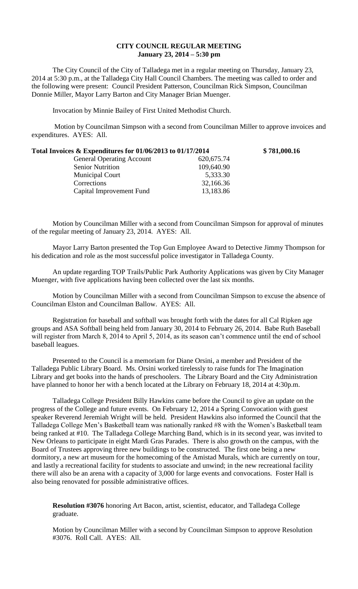## **CITY COUNCIL REGULAR MEETING January 23, 2014 – 5:30 pm**

The City Council of the City of Talladega met in a regular meeting on Thursday, January 23, 2014 at 5:30 p.m., at the Talladega City Hall Council Chambers. The meeting was called to order and the following were present: Council President Patterson, Councilman Rick Simpson, Councilman Donnie Miller, Mayor Larry Barton and City Manager Brian Muenger.

Invocation by Minnie Bailey of First United Methodist Church.

Motion by Councilman Simpson with a second from Councilman Miller to approve invoices and expenditures. AYES: All.

| Total Invoices $\&$ Expenditures for 01/06/2013 to 01/17/2014 |             | \$781,000.16 |
|---------------------------------------------------------------|-------------|--------------|
| <b>General Operating Account</b>                              | 620, 675.74 |              |
| <b>Senior Nutrition</b>                                       | 109,640.90  |              |
| <b>Municipal Court</b>                                        | 5,333.30    |              |
| Corrections                                                   | 32,166.36   |              |
| Capital Improvement Fund                                      | 13,183.86   |              |

Motion by Councilman Miller with a second from Councilman Simpson for approval of minutes of the regular meeting of January 23, 2014. AYES: All.

Mayor Larry Barton presented the Top Gun Employee Award to Detective Jimmy Thompson for his dedication and role as the most successful police investigator in Talladega County.

An update regarding TOP Trails/Public Park Authority Applications was given by City Manager Muenger, with five applications having been collected over the last six months.

Motion by Councilman Miller with a second from Councilman Simpson to excuse the absence of Councilman Elston and Councilman Ballow. AYES: All.

Registration for baseball and softball was brought forth with the dates for all Cal Ripken age groups and ASA Softball being held from January 30, 2014 to February 26, 2014. Babe Ruth Baseball will register from March 8, 2014 to April 5, 2014, as its season can't commence until the end of school baseball leagues.

Presented to the Council is a memoriam for Diane Orsini, a member and President of the Talladega Public Library Board. Ms. Orsini worked tirelessly to raise funds for The Imagination Library and get books into the hands of preschoolers. The Library Board and the City Administration have planned to honor her with a bench located at the Library on February 18, 2014 at 4:30p.m.

Talladega College President Billy Hawkins came before the Council to give an update on the progress of the College and future events. On February 12, 2014 a Spring Convocation with guest speaker Reverend Jeremiah Wright will be held. President Hawkins also informed the Council that the Talladega College Men's Basketball team was nationally ranked #8 with the Women's Basketball team being ranked at #10. The Talladega College Marching Band, which is in its second year, was invited to New Orleans to participate in eight Mardi Gras Parades. There is also growth on the campus, with the Board of Trustees approving three new buildings to be constructed. The first one being a new dormitory, a new art museum for the homecoming of the Amistad Murals, which are currently on tour, and lastly a recreational facility for students to associate and unwind; in the new recreational facility there will also be an arena with a capacity of 3,000 for large events and convocations. Foster Hall is also being renovated for possible administrative offices.

**Resolution #3076** honoring Art Bacon, artist, scientist, educator, and Talladega College graduate.

Motion by Councilman Miller with a second by Councilman Simpson to approve Resolution #3076. Roll Call. AYES: All.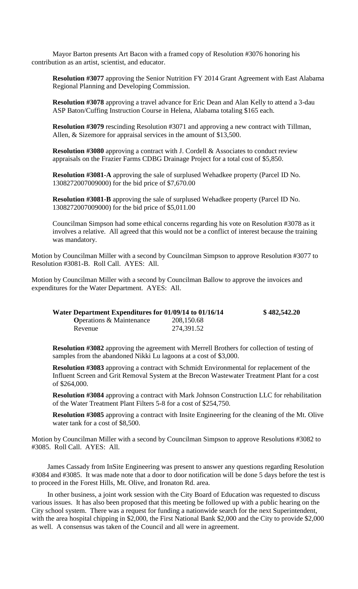Mayor Barton presents Art Bacon with a framed copy of Resolution #3076 honoring his contribution as an artist, scientist, and educator.

**Resolution #3077** approving the Senior Nutrition FY 2014 Grant Agreement with East Alabama Regional Planning and Developing Commission.

**Resolution #3078** approving a travel advance for Eric Dean and Alan Kelly to attend a 3-dau ASP Baton/Cuffing Instruction Course in Helena, Alabama totaling \$165 each.

**Resolution #3079** rescinding Resolution #3071 and approving a new contract with Tillman, Allen, & Sizemore for appraisal services in the amount of \$13,500.

**Resolution #3080** approving a contract with J. Cordell & Associates to conduct review appraisals on the Frazier Farms CDBG Drainage Project for a total cost of \$5,850.

**Resolution #3081-A** approving the sale of surplused Wehadkee property (Parcel ID No. 1308272007009000) for the bid price of \$7,670.00

**Resolution #3081-B** approving the sale of surplused Wehadkee property (Parcel ID No. 1308272007009000) for the bid price of \$5,011.00

Councilman Simpson had some ethical concerns regarding his vote on Resolution #3078 as it involves a relative. All agreed that this would not be a conflict of interest because the training was mandatory.

Motion by Councilman Miller with a second by Councilman Simpson to approve Resolution #3077 to Resolution #3081-B. Roll Call. AYES: All.

Motion by Councilman Miller with a second by Councilman Ballow to approve the invoices and expenditures for the Water Department. AYES: All.

| Water Department Expenditures for 01/09/14 to 01/16/14 |            | \$482,542.20 |
|--------------------------------------------------------|------------|--------------|
| <b>O</b> perations & Maintenance                       | 208,150.68 |              |
| Revenue                                                | 274,391.52 |              |

**Resolution #3082** approving the agreement with Merrell Brothers for collection of testing of samples from the abandoned Nikki Lu lagoons at a cost of \$3,000.

**Resolution #3083** approving a contract with Schmidt Environmental for replacement of the Influent Screen and Grit Removal System at the Brecon Wastewater Treatment Plant for a cost of \$264,000.

**Resolution #3084** approving a contract with Mark Johnson Construction LLC for rehabilitation of the Water Treatment Plant Filters 5-8 for a cost of \$254,750.

**Resolution #3085** approving a contract with Insite Engineering for the cleaning of the Mt. Olive water tank for a cost of \$8,500.

Motion by Councilman Miller with a second by Councilman Simpson to approve Resolutions #3082 to #3085. Roll Call. AYES: All.

James Cassady from InSite Engineering was present to answer any questions regarding Resolution #3084 and #3085. It was made note that a door to door notification will be done 5 days before the test is to proceed in the Forest Hills, Mt. Olive, and Ironaton Rd. area.

In other business, a joint work session with the City Board of Education was requested to discuss various issues. It has also been proposed that this meeting be followed up with a public hearing on the City school system. There was a request for funding a nationwide search for the next Superintendent, with the area hospital chipping in \$2,000, the First National Bank \$2,000 and the City to provide \$2,000 as well. A consensus was taken of the Council and all were in agreement.